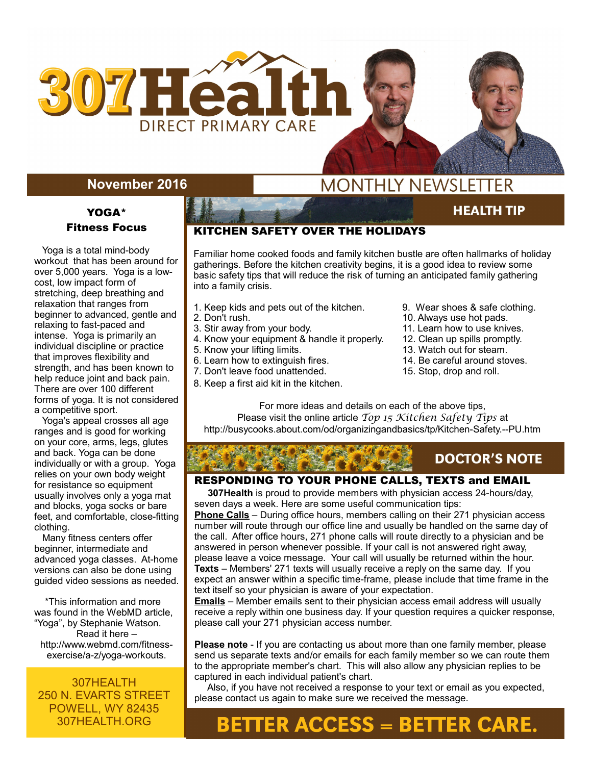

## **November 2016**

### YOGA\* Fitness Focus

 Yoga is a total mind-body workout that has been around for over 5,000 years. Yoga is a lowcost, low impact form of stretching, deep breathing and relaxation that ranges from beginner to advanced, gentle and relaxing to fast-paced and intense. Yoga is primarily an individual discipline or practice that improves flexibility and strength, and has been known to help reduce joint and back pain. There are over 100 different forms of yoga. It is not considered a competitive sport.

 Yoga's appeal crosses all age ranges and is good for working on your core, arms, legs, glutes and back. Yoga can be done individually or with a group. Yoga relies on your own body weight for resistance so equipment usually involves only a yoga mat and blocks, yoga socks or bare feet, and comfortable, close-fitting clothing.

 Many fitness centers offer beginner, intermediate and advanced yoga classes. At-home versions can also be done using guided video sessions as needed.

 \*This information and more was found in the WebMD article, "Yoga", by Stephanie Watson. Read it here – http://www.webmd.com/fitnessexercise/a-z/yoga-workouts.

307HEALTH 250 N. EVARTS STREET POWELL, WY 82435 307HEALTH.ORG

## **MONTHLY NEWSLETTER**

#### KITCHEN SAFETY OVER THE HOLIDAYS

Familiar home cooked foods and family kitchen bustle are often hallmarks of holiday gatherings. Before the kitchen creativity begins, it is a good idea to review some basic safety tips that will reduce the risk of turning an anticipated family gathering into a family crisis.

- 1. Keep kids and pets out of the kitchen. 9. Wear shoes & safe clothing.<br>2. Don't rush. 9. 10. Always use hot pads.
- 
- 
- 4. Know your equipment & handle it properly. 12. Clean up spills promptly.<br>5. Know your lifting limits. 13. Watch out for steam.
- 
- 6. Learn how to extinguish fires.
- 7. Don't leave food unattended. 15. Stop, drop and roll.
- 8. Keep a first aid kit in the kitchen.

**AUGUST 2015** 

**HEALTH TIP** 

- 10. Always use hot pads.
- 3. Stir away from your body. 11. Learn how to use knives.
	-
- 5. Know your lifting limits. 13. Watch out for steam.<br>14. Be careful around stoves.
	-
	-

For more ideas and details on each of the above tips, Please visit the online article *Top 15 Kitchen Safety Tips* at http://busycooks.about.com/od/organizingandbasics/tp/Kitchen-Safety.--PU.htm

## **DOCTOR'S NOTE**

#### RESPONDING TO YOUR PHONE CALLS, TEXTS and EMAIL

 **307Health** is proud to provide members with physician access 24-hours/day, seven days a week. Here are some useful communication tips:

**Phone Calls** – During office hours, members calling on their 271 physician access number will route through our office line and usually be handled on the same day of the call. After office hours, 271 phone calls will route directly to a physician and be answered in person whenever possible. If your call is not answered right away, please leave a voice message. Your call will usually be returned within the hour. **Texts** – Members' 271 texts will usually receive a reply on the same day. If you expect an answer within a specific time-frame, please include that time frame in the text itself so your physician is aware of your expectation.

**Emails** – Member emails sent to their physician access email address will usually receive a reply within one business day. If your question requires a quicker response, please call your 271 physician access number.

**Please note** - If you are contacting us about more than one family member, please send us separate texts and/or emails for each family member so we can route them to the appropriate member's chart. This will also allow any physician replies to be captured in each individual patient's chart.

 Also, if you have not received a response to your text or email as you expected, please contact us again to make sure we received the message.

# **BETTER ACCESS = BETTER CARE.**